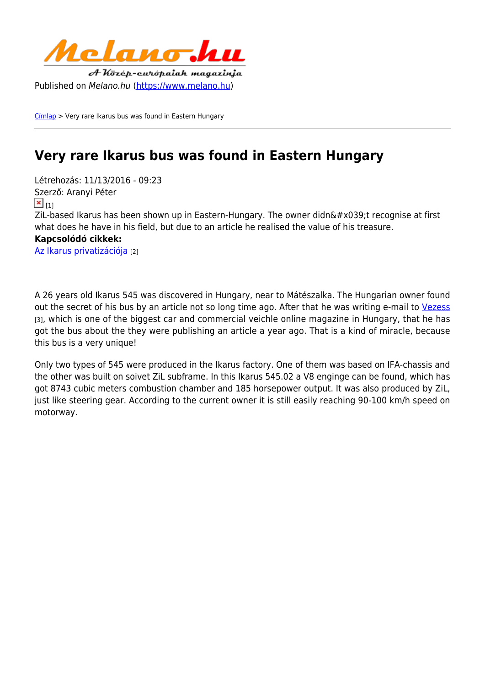

[Címlap](https://www.melano.hu/) > Very rare Ikarus bus was found in Eastern Hungary

## **Very rare Ikarus bus was found in Eastern Hungary**

Létrehozás: 11/13/2016 - 09:23 Szerző: Aranyi Péter  $\mathbf{x}$ <sub>[1]</sub> ZiL-based Ikarus has been shown up in Eastern-Hungary. The owner didn9t recognise at first what does he have in his field, but due to an article he realised the value of his treasure. **Kapcsolódó cikkek:**  [Az Ikarus privatizációja](https://www.melano.hu/az_ikarus_privatizacioja) [2]

A 26 years old Ikarus 545 was discovered in Hungary, near to Mátészalka. The Hungarian owner found out the secret of his bus by an article not so long time ago. After that he was writing e-mail to [Vezess](http://www.vezess.hu/haszongepjarmu/2016/11/11/zil-motoros-ikarus/) [3], which is one of the biggest car and commercial veichle online magazine in Hungary, that he has got the bus about the they were publishing an article a year ago. That is a kind of miracle, because this bus is a very unique!

Only two types of 545 were produced in the Ikarus factory. One of them was based on IFA-chassis and the other was built on soivet ZiL subframe. In this Ikarus 545.02 a V8 enginge can be found, which has got 8743 cubic meters combustion chamber and 185 horsepower output. It was also produced by ZiL, just like steering gear. According to the current owner it is still easily reaching 90-100 km/h speed on motorway.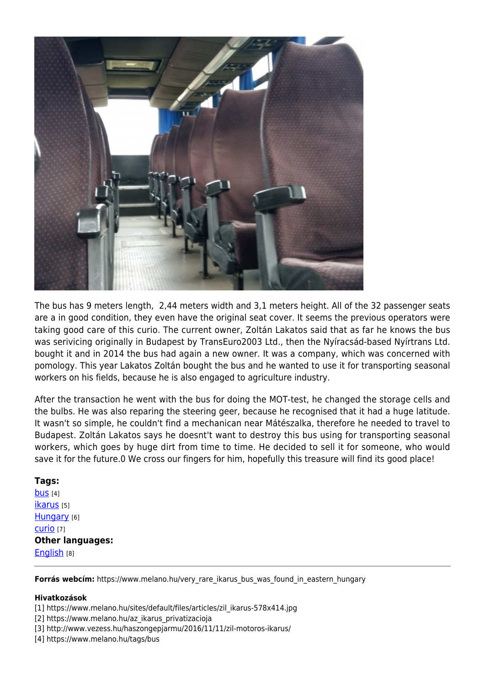

The bus has 9 meters length, 2,44 meters width and 3,1 meters height. All of the 32 passenger seats are a in good condition, they even have the original seat cover. It seems the previous operators were taking good care of this curio. The current owner, Zoltán Lakatos said that as far he knows the bus was serivicing originally in Budapest by TransEuro2003 Ltd., then the Nyíracsád-based Nyírtrans Ltd. bought it and in 2014 the bus had again a new owner. It was a company, which was concerned with pomology. This year Lakatos Zoltán bought the bus and he wanted to use it for transporting seasonal workers on his fields, because he is also engaged to agriculture industry.

After the transaction he went with the bus for doing the MOT-test, he changed the storage cells and the bulbs. He was also reparing the steering geer, because he recognised that it had a huge latitude. It wasn't so simple, he couldn't find a mechanican near Mátészalka, therefore he needed to travel to Budapest. Zoltán Lakatos says he doesnt't want to destroy this bus using for transporting seasonal workers, which goes by huge dirt from time to time. He decided to sell it for someone, who would save it for the future.0 We cross our fingers for him, hopefully this treasure will find its good place!

## **Tags:**

**[bus](https://www.melano.hu/tags/bus)** [4] [ikarus](https://www.melano.hu/tags/ikarus) [5] [Hungary](https://www.melano.hu/tags/hungary) [6] [curio](https://www.melano.hu/tags/curio) [7] **Other languages:**  [English](https://www.melano.hu/other_languages/english) [8]

**Forrás webcím:** https://www.melano.hu/very\_rare\_ikarus\_bus\_was\_found\_in\_eastern\_hungary

## **Hivatkozások**

- [1] https://www.melano.hu/sites/default/files/articles/zil\_ikarus-578x414.jpg
- [2] https://www.melano.hu/az\_ikarus\_privatizacioja
- [3] http://www.vezess.hu/haszongepjarmu/2016/11/11/zil-motoros-ikarus/
- [4] https://www.melano.hu/tags/bus